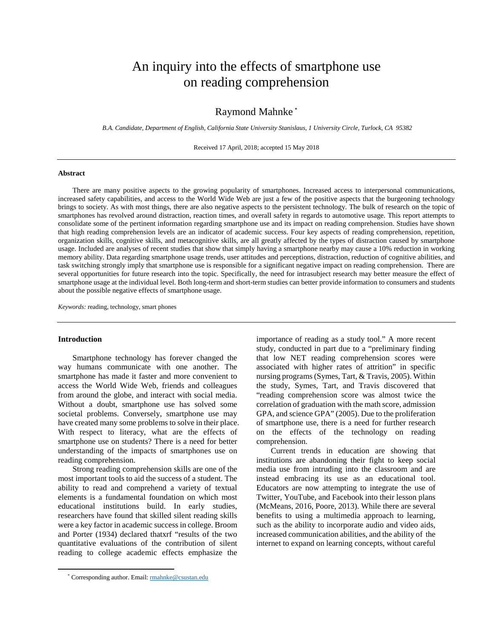# An inquiry into the effects of smartphone use on reading comprehension

## Raymond Mahnke [\\*](#page-0-0)

*B.A. Candidate, Department of English, California State University Stanislaus, 1 University Circle, Turlock, CA 95382*

Received 17 April, 2018; accepted 15 May 2018

### **Abstract**

There are many positive aspects to the growing popularity of smartphones. Increased access to interpersonal communications, increased safety capabilities, and access to the World Wide Web are just a few of the positive aspects that the burgeoning technology brings to society. As with most things, there are also negative aspects to the persistent technology. The bulk of research on the topic of smartphones has revolved around distraction, reaction times, and overall safety in regards to automotive usage. This report attempts to consolidate some of the pertinent information regarding smartphone use and its impact on reading comprehension. Studies have shown that high reading comprehension levels are an indicator of academic success. Four key aspects of reading comprehension, repetition, organization skills, cognitive skills, and metacognitive skills, are all greatly affected by the types of distraction caused by smartphone usage. Included are analyses of recent studies that show that simply having a smartphone nearby may cause a 10% reduction in working memory ability. Data regarding smartphone usage trends, user attitudes and perceptions, distraction, reduction of cognitive abilities, and task switching strongly imply that smartphone use is responsible for a significant negative impact on reading comprehension. There are several opportunities for future research into the topic. Specifically, the need for intrasubject research may better measure the effect of smartphone usage at the individual level. Both long-term and short-term studies can better provide information to consumers and students about the possible negative effects of smartphone usage.

*Keywords:* reading, technology, smart phones

#### **Introduction**

<span id="page-0-0"></span>l

Smartphone technology has forever changed the way humans communicate with one another. The smartphone has made it faster and more convenient to access the World Wide Web, friends and colleagues from around the globe, and interact with social media. Without a doubt, smartphone use has solved some societal problems. Conversely, smartphone use may have created many some problems to solve in their place. With respect to literacy, what are the effects of smartphone use on students? There is a need for better understanding of the impacts of smartphones use on reading comprehension.

Strong reading comprehension skills are one of the most important tools to aid the success of a student. The ability to read and comprehend a variety of textual elements is a fundamental foundation on which most educational institutions build. In early studies, researchers have found that skilled silent reading skills were a key factor in academic success in college. Broom and Porter (1934) declared thatxrf "results of the two quantitative evaluations of the contribution of silent reading to college academic effects emphasize the

importance of reading as a study tool." A more recent study, conducted in part due to a "preliminary finding

institutions are abandoning their fight to keep social media use from intruding into the classroom and are instead embracing its use as an educational tool. Educators are now attempting to integrate the use of Twitter, YouTube, and Facebook into their lesson plans (McMeans, 2016, Poore, 2013). While there are several benefits to using a multimedia approach to learning, such as the ability to incorporate audio and video aids, increased communication abilities, and the ability of the internet to expand on learning concepts, without careful

that low NET reading comprehension scores were associated with higher rates of attrition" in specific nursing programs (Symes, Tart, & Travis, 2005). Within the study, Symes, Tart, and Travis discovered that "reading comprehension score was almost twice the correlation of graduation with the math score, admission GPA, and science GPA" (2005). Due to the proliferation of smartphone use, there is a need for further research on the effects of the technology on reading comprehension. Current trends in education are showing that

<sup>\*</sup> Corresponding author. Email: **rmahnke@csustan.edu**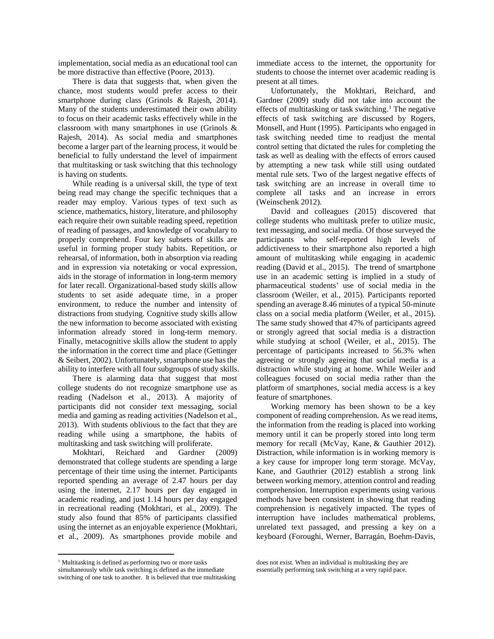implementation, social media as an educational tool can be more distractive than effective (Poore, 2013).

There is data that suggests that, when given the chance, most students would prefer access to their smartphone during class (Grinols & Rajesh, 2014). Many of the students underestimated their own ability to focus on their academic tasks effectively while in the classroom with many smartphones in use (Grinols & Rajesh, 2014). As social media and smartphones become a larger part of the learning process, it would be beneficial to fully understand the level of impairment that multitasking or task switching that this technology is having on students.

While reading is a universal skill, the type of text being read may change the specific techniques that a reader may employ. Various types of text such as science, mathematics, history, literature, and philosophy each require their own suitable reading speed, repetition of reading of passages, and knowledge of vocabulary to properly comprehend. Four key subsets of skills are useful in forming proper study habits. Repetition, or rehearsal, of information, both in absorption via reading and in expression via notetaking or vocal expression, aids in the storage of information in long-term memory for later recall. Organizational-based study skills allow students to set aside adequate time, in a proper environment, to reduce the number and intensity of distractions from studying. Cognitive study skills allow the new information to become associated with existing information already stored in long-term memory. Finally, metacognitive skills allow the student to apply the information in the correct time and place (Gettinger & Seibert, 2002). Unfortunately, smartphone use has the ability to interfere with all four subgroups of study skills.

There is alarming data that suggest that most college students do not recognize smartphone use as reading (Nadelson et al., 2013). A majority of participants did not consider text messaging, social media and gaming as reading activities (Nadelson et al., 2013). With students oblivious to the fact that they are reading while using a smartphone, the habits of multitasking and task switching will proliferate.

Mokhtari, Reichard and Gardner (2009) demonstrated that college students are spending a large percentage of their time using the internet. Participants reported spending an average of 2.47 hours per day using the internet, 2.17 hours per day engaged in academic reading, and just 1.14 hours per day engaged in recreational reading (Mokhtari, et al., 2009). The study also found that 85% of participants classified using the internet as an enjoyable experience (Mokhtari, et al., 2009). As smartphones provide mobile and

l

immediate access to the internet, the opportunity for students to choose the internet over academic reading is present at all times.

Unfortunately, the Mokhtari, Reichard, and Gardner (2009) study did not take into account the effects of multitasking or task switching.<sup>[1](#page-1-0)</sup> The negative effects of task switching are discussed by Rogers, Monsell, and Hunt (1995). Participants who engaged in task switching needed time to readjust the mental control setting that dictated the rules for completing the task as well as dealing with the effects of errors caused by attempting a new task while still using outdated mental rule sets. Two of the largest negative effects of task switching are an increase in overall time to complete all tasks and an increase in errors (Weinschenk 2012).

David and colleagues (2015) discovered that college students who multitask prefer to utilize music, text messaging, and social media. Of those surveyed the participants who self-reported high levels of addictiveness to their smartphone also reported a high amount of multitasking while engaging in academic reading (David et al., 2015). The trend of smartphone use in an academic setting is implied in a study of pharmaceutical students' use of social media in the classroom (Weiler, et al., 2015). Participants reported spending an average 8.46 minutes of a typical 50-minute class on a social media platform (Weiler, et al., 2015). The same study showed that 47% of participants agreed or strongly agreed that social media is a distraction while studying at school (Weiler, et al., 2015). The percentage of participants increased to 56.3% when agreeing or strongly agreeing that social media is a distraction while studying at home. While Weiler and colleagues focused on social media rather than the platform of smartphones, social media access is a key feature of smartphones.

Working memory has been shown to be a key component of reading comprehension. As we read items, the information from the reading is placed into working memory until it can be properly stored into long term memory for recall (McVay, Kane, & Gauthier 2012). Distraction, while information is in working memory is a key cause for improper long term storage. McVay, Kane, and Gauthrier (2012) establish a strong link between working memory, attention control and reading comprehension. Interruption experiments using various methods have been consistent in showing that reading comprehension is negatively impacted. The types of interruption have includes mathematical problems, unrelated text passaged, and pressing a key on a keyboard (Foroughi, Werner, Barragán, Boehm-Davis,

does not exist. When an individual is multitasking they are essentially performing task switching at a very rapid pace.

<span id="page-1-0"></span><sup>&</sup>lt;sup>1</sup> Multitasking is defined as performing two or more tasks simultaneously while task switching is defined as the immediate switching of one task to another. It is believed that true multitasking